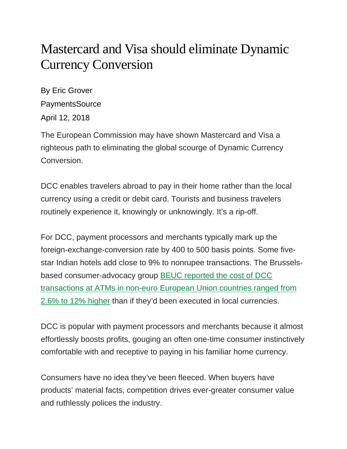## Mastercard and Visa should eliminate Dynamic Currency Conversion

By Eric Grover **PaymentsSource** April 12, 2018

The European Commission may have shown Mastercard and Visa a righteous path to eliminating the global scourge of Dynamic Currency Conversion.

DCC enables travelers abroad to pay in their home rather than the local currency using a credit or debit card. Tourists and business travelers routinely experience it, knowingly or unknowingly. It's a rip-off.

For DCC, payment processors and merchants typically mark up the foreign-exchange-conversion rate by 400 to 500 basis points. Some fivestar Indian hotels add close to 9% to nonrupee transactions. The Brusselsbased consumer-advocacy group [BEUC reported the cost of DCC](http://www.beuc.eu/publications/beuc-x-2017-118_dynamic_currency_conversion_position_paper.pdf)  [transactions at ATMs in non-euro European Union countries ranged from](http://www.beuc.eu/publications/beuc-x-2017-118_dynamic_currency_conversion_position_paper.pdf)  [2.6% to 12% higher](http://www.beuc.eu/publications/beuc-x-2017-118_dynamic_currency_conversion_position_paper.pdf) than if they'd been executed in local currencies.

DCC is popular with payment processors and merchants because it almost effortlessly boosts profits, gouging an often one-time consumer instinctively comfortable with and receptive to paying in his familiar home currency.

Consumers have no idea they've been fleeced. When buyers have products' material facts, competition drives ever-greater consumer value and ruthlessly polices the industry.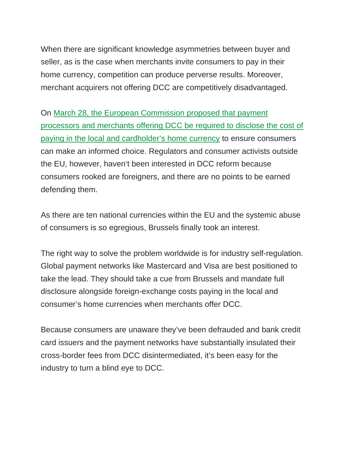When there are significant knowledge asymmetries between buyer and seller, as is the case when merchants invite consumers to pay in their home currency, competition can produce perverse results. Moreover, merchant acquirers not offering DCC are competitively disadvantaged.

On [March 28, the European Commission proposed that payment](https://ec.europa.eu/info/publications/180328-proposal-cross-border-payments_en)  [processors and merchants offering DCC be required to disclose the cost of](https://ec.europa.eu/info/publications/180328-proposal-cross-border-payments_en)  [paying in the local and cardholder's home currency](https://ec.europa.eu/info/publications/180328-proposal-cross-border-payments_en) to ensure consumers can make an informed choice. Regulators and consumer activists outside the EU, however, haven't been interested in DCC reform because consumers rooked are foreigners, and there are no points to be earned defending them.

As there are ten national currencies within the EU and the systemic abuse of consumers is so egregious, Brussels finally took an interest.

The right way to solve the problem worldwide is for industry self-regulation. Global payment networks like Mastercard and Visa are best positioned to take the lead. They should take a cue from Brussels and mandate full disclosure alongside foreign-exchange costs paying in the local and consumer's home currencies when merchants offer DCC.

Because consumers are unaware they've been defrauded and bank credit card issuers and the payment networks have substantially insulated their cross-border fees from DCC disintermediated, it's been easy for the industry to turn a blind eye to DCC.